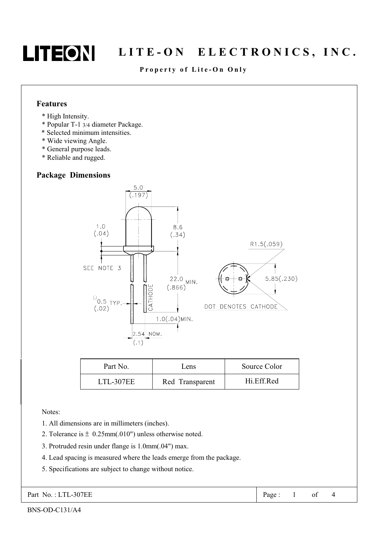

### Property of Lite-On Only

#### **Features**

- \* High Intensity.
- \* Popular T-1 3/4 diameter Package.
- \* Selected minimum intensities.
- \* Wide viewing Angle.
- \* General purpose leads.
- \* Reliable and rugged.

### **Package Dimensions**



| Part No.  | Lens            | Source Color |  |  |
|-----------|-----------------|--------------|--|--|
| LTL-307EE | Red Transparent | Hi.Eff.Red   |  |  |

Notes:

- 1. All dimensions are in millimeters (inches).
- 2. Tolerance is  $\pm$  0.25mm(.010") unless otherwise noted.
- 3. Protruded resin under flange is 1.0mm(.04") max.
- 4. Lead spacing is measured where the leads emerge from the package.
- 5. Specifications are subject to change without notice.

Part No.: LTL-307EE

 $\overline{4}$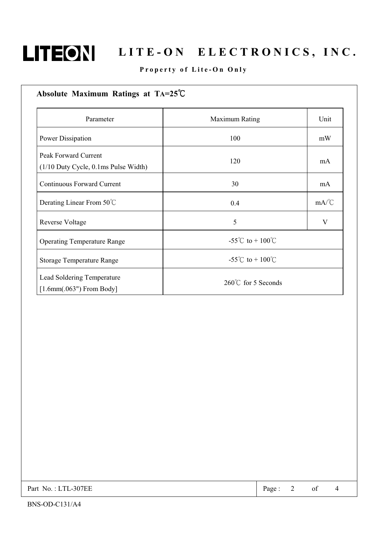

### Property of Lite-On Only

| Absolute Maximum Ratings at $TA=25^{\circ}C$                          |                               |      |  |
|-----------------------------------------------------------------------|-------------------------------|------|--|
| Parameter                                                             | Maximum Rating                | Unit |  |
| <b>Power Dissipation</b>                                              | 100                           | mW   |  |
| <b>Peak Forward Current</b><br>$(1/10$ Duty Cycle, 0.1ms Pulse Width) | 120                           | mA   |  |
| <b>Continuous Forward Current</b>                                     | 30                            | mA   |  |
| Derating Linear From 50°C                                             | 0.4                           | mA/C |  |
| <b>Reverse Voltage</b>                                                | 5                             | V    |  |
| <b>Operating Temperature Range</b>                                    | -55°C to + $100^{\circ}$ C    |      |  |
| <b>Storage Temperature Range</b>                                      | -55°C to + $100^{\circ}$ C    |      |  |
| Lead Soldering Temperature<br>$[1.6mm(.063")$ From Body]              | $260^{\circ}$ C for 5 Seconds |      |  |

Part No.: LTL-307EE

Page:  $\overline{2}$ 

of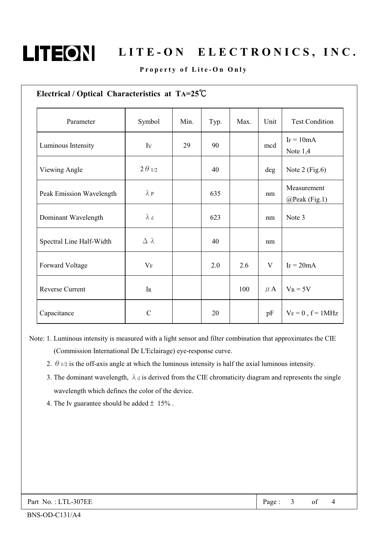

### Property of Lite-On Only

| Parameter                | Symbol           | Min. | Typ. | Max. | Unit         | <b>Test Condition</b>        |
|--------------------------|------------------|------|------|------|--------------|------------------------------|
| Luminous Intensity       | Iv               | 29   | 90   |      | mcd          | $I_F = 10mA$<br>Note $1,4$   |
| Viewing Angle            | $2\theta_{1/2}$  |      | 40   |      | deg          | Note $2$ (Fig.6)             |
| Peak Emission Wavelength | $\lambda$ P      |      | 635  |      | nm           | Measurement<br>@Peak (Fig.1) |
| Dominant Wavelength      | $\lambda$ d      |      | 623  |      | nm           | Note 3                       |
| Spectral Line Half-Width | $\Delta \lambda$ |      | 40   |      | nm           |                              |
| Forward Voltage          | $V_{F}$          |      | 2.0  | 2.6  | $\mathbf{V}$ | $I_F = 20mA$                 |
| <b>Reverse Current</b>   | $\rm I_R$        |      |      | 100  | $\mu$ A      | $V_R = 5V$                   |
| Capacitance              | $\mathcal{C}$    |      | 20   |      | pF           | $V_F = 0$ , $f = 1$ MHz      |

- Note: 1. Luminous intensity is measured with a light sensor and filter combination that approximates the CIE (Commission International De L'Eclairage) eye-response curve.
	- 2.  $\theta$  1/2 is the off-axis angle at which the luminous intensity is half the axial luminous intensity.
	- 3. The dominant wavelength,  $\lambda$  d is derived from the CIE chromaticity diagram and represents the single wavelength which defines the color of the device.
	- 4. The Iv guarantee should be added  $\pm$  15%.